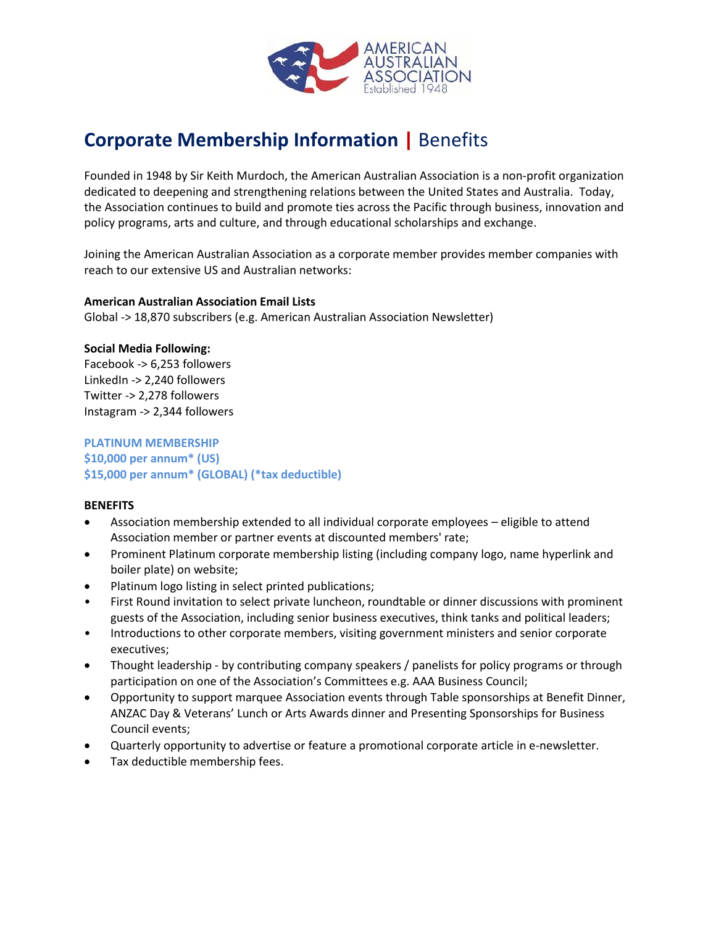

# **Corporate Membership Information |** Benefits

Founded in 1948 by Sir Keith Murdoch, the American Australian Association is a non-profit organization dedicated to deepening and strengthening relations between the United States and Australia. Today, the Association continues to build and promote ties across the Pacific through business, innovation and policy programs, arts and culture, and through educational scholarships and exchange.

Joining the American Australian Association as a corporate member provides member companies with reach to our extensive US and Australian networks:

#### **American Australian Association Email Lists**

Global -> 18,870 subscribers (e.g. American Australian Association Newsletter)

#### **Social Media Following:**

Facebook -> 6,253 followers LinkedIn -> 2,240 followers Twitter -> 2,278 followers Instagram -> 2,344 followers

#### **PLATINUM MEMBERSHIP \$10,000 per annum\* (US) \$15,000 per annum\* (GLOBAL) (\*tax deductible)**

#### **BENEFITS**

- Association membership extended to all individual corporate employees eligible to attend Association member or partner events at discounted members' rate;
- Prominent Platinum corporate membership listing (including company logo, name hyperlink and boiler plate) on website;
- Platinum logo listing in select printed publications;
- First Round invitation to select private luncheon, roundtable or dinner discussions with prominent guests of the Association, including senior business executives, think tanks and political leaders;
- Introductions to other corporate members, visiting government ministers and senior corporate executives;
- Thought leadership by contributing company speakers / panelists for policy programs or through participation on one of the Association's Committees e.g. AAA Business Council;
- Opportunity to support marquee Association events through Table sponsorships at Benefit Dinner, ANZAC Day & Veterans' Lunch or Arts Awards dinner and Presenting Sponsorships for Business Council events;
- Quarterly opportunity to advertise or feature a promotional corporate article in e-newsletter.
- Tax deductible membership fees.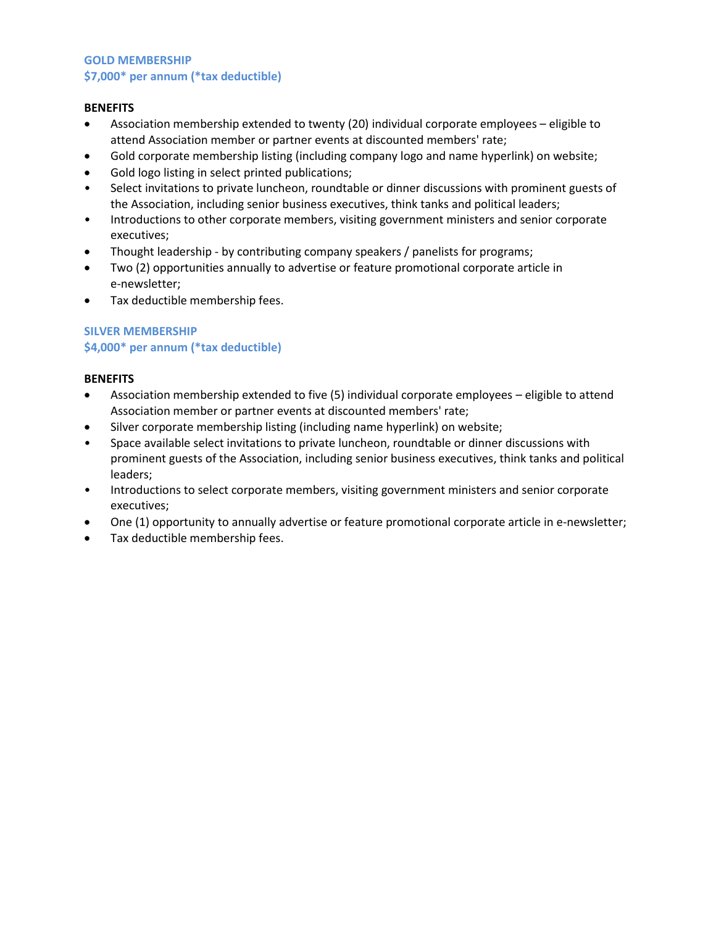### **GOLD MEMBERSHIP \$7,000\* per annum (\*tax deductible)**

#### **BENEFITS**

- Association membership extended to twenty (20) individual corporate employees eligible to attend Association member or partner events at discounted members' rate;
- Gold corporate membership listing (including company logo and name hyperlink) on website;
- Gold logo listing in select printed publications;
- Select invitations to private luncheon, roundtable or dinner discussions with prominent guests of the Association, including senior business executives, think tanks and political leaders;
- Introductions to other corporate members, visiting government ministers and senior corporate executives;
- Thought leadership by contributing company speakers / panelists for programs;
- Two (2) opportunities annually to advertise or feature promotional corporate article in e-newsletter;
- Tax deductible membership fees.

# **SILVER MEMBERSHIP \$4,000\* per annum (\*tax deductible)**

#### **BENEFITS**

- Association membership extended to five (5) individual corporate employees eligible to attend Association member or partner events at discounted members' rate;
- Silver corporate membership listing (including name hyperlink) on website;
- Space available select invitations to private luncheon, roundtable or dinner discussions with prominent guests of the Association, including senior business executives, think tanks and political leaders;
- Introductions to select corporate members, visiting government ministers and senior corporate executives;
- One (1) opportunity to annually advertise or feature promotional corporate article in e-newsletter;
- Tax deductible membership fees.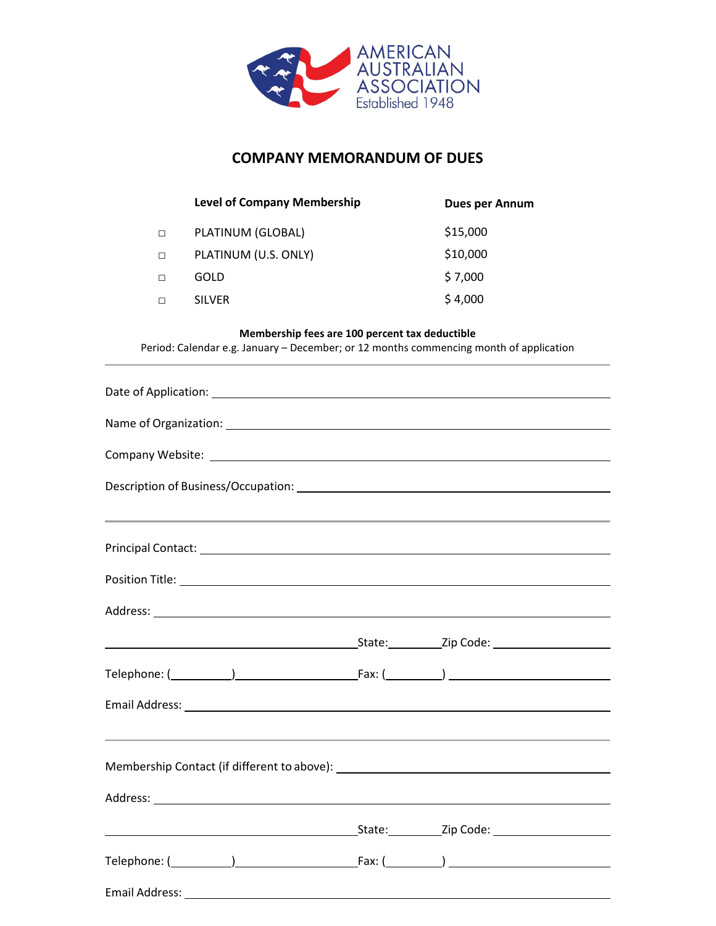

# **COMPANY MEMORANDUM OF DUES**

|   | <b>Level of Company Membership</b> | <b>Dues per Annum</b> |
|---|------------------------------------|-----------------------|
| П | PLATINUM (GLOBAL)                  | \$15,000              |
| П | PLATINUM (U.S. ONLY)               | \$10,000              |
|   | GOLD                               | \$7,000               |
|   | <b>SILVER</b>                      | \$4,000               |

# **Membership fees are 100 percent tax deductible**

Period: Calendar e.g. January – December; or 12 months commencing month of application

| ,我们也不能会在这里,我们的人们就会在这里,我们的人们就会在这里,我们的人们就会在这里,我们的人们就会在这里,我们的人们就会在这里,我们的人们就会在这里,我们的                                                                                                                                                     |  |  |  |  |  |  |  |
|--------------------------------------------------------------------------------------------------------------------------------------------------------------------------------------------------------------------------------------|--|--|--|--|--|--|--|
|                                                                                                                                                                                                                                      |  |  |  |  |  |  |  |
|                                                                                                                                                                                                                                      |  |  |  |  |  |  |  |
|                                                                                                                                                                                                                                      |  |  |  |  |  |  |  |
|                                                                                                                                                                                                                                      |  |  |  |  |  |  |  |
|                                                                                                                                                                                                                                      |  |  |  |  |  |  |  |
|                                                                                                                                                                                                                                      |  |  |  |  |  |  |  |
|                                                                                                                                                                                                                                      |  |  |  |  |  |  |  |
|                                                                                                                                                                                                                                      |  |  |  |  |  |  |  |
|                                                                                                                                                                                                                                      |  |  |  |  |  |  |  |
| <u> Expanding State: Expanding State: Expanding State: Expanding State: Expanding State: Expanding State: Expanding State: Expanding State: Expanding State: Expanding State: Expanding State: Expanding State: Expanding State:</u> |  |  |  |  |  |  |  |
|                                                                                                                                                                                                                                      |  |  |  |  |  |  |  |
|                                                                                                                                                                                                                                      |  |  |  |  |  |  |  |